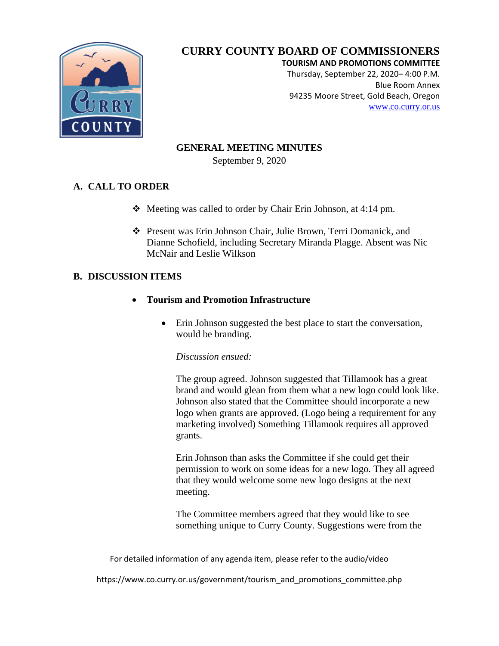

**TOURISM AND PROMOTIONS COMMITTEE**

Thursday, September 22, 2020– 4:00 P.M. Blue Room Annex 94235 Moore Street, Gold Beach, Oregon [www.co.curry.or.us](http://www.co.curry.or.us/)

### **GENERAL MEETING MINUTES**

September 9, 2020

### **A. CALL TO ORDER**

- Meeting was called to order by Chair Erin Johnson, at 4:14 pm.
- Present was Erin Johnson Chair, Julie Brown, Terri Domanick, and Dianne Schofield, including Secretary Miranda Plagge. Absent was Nic McNair and Leslie Wilkson

### **B. DISCUSSION ITEMS**

- **Tourism and Promotion Infrastructure** 
	- Erin Johnson suggested the best place to start the conversation, would be branding.

#### *Discussion ensued:*

The group agreed. Johnson suggested that Tillamook has a great brand and would glean from them what a new logo could look like. Johnson also stated that the Committee should incorporate a new logo when grants are approved. (Logo being a requirement for any marketing involved) Something Tillamook requires all approved grants.

Erin Johnson than asks the Committee if she could get their permission to work on some ideas for a new logo. They all agreed that they would welcome some new logo designs at the next meeting.

The Committee members agreed that they would like to see something unique to Curry County. Suggestions were from the

For detailed information of any agenda item, please refer to the audio/video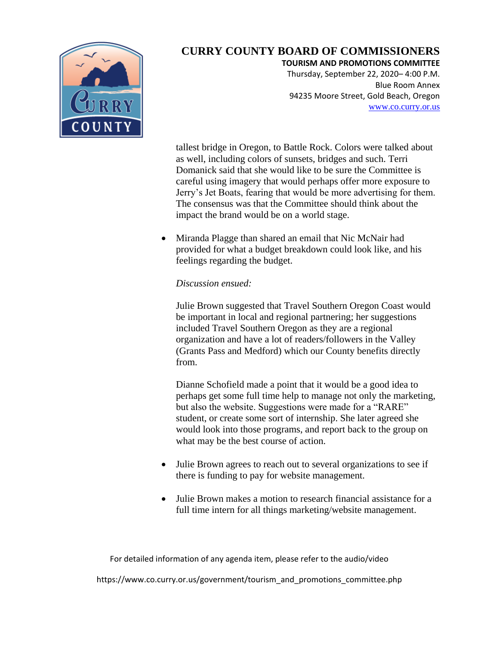

#### **TOURISM AND PROMOTIONS COMMITTEE**

Thursday, September 22, 2020– 4:00 P.M. Blue Room Annex 94235 Moore Street, Gold Beach, Oregon [www.co.curry.or.us](http://www.co.curry.or.us/)

tallest bridge in Oregon, to Battle Rock. Colors were talked about as well, including colors of sunsets, bridges and such. Terri Domanick said that she would like to be sure the Committee is careful using imagery that would perhaps offer more exposure to Jerry's Jet Boats, fearing that would be more advertising for them. The consensus was that the Committee should think about the impact the brand would be on a world stage.

• Miranda Plagge than shared an email that Nic McNair had provided for what a budget breakdown could look like, and his feelings regarding the budget.

*Discussion ensued:*

Julie Brown suggested that Travel Southern Oregon Coast would be important in local and regional partnering; her suggestions included Travel Southern Oregon as they are a regional organization and have a lot of readers/followers in the Valley (Grants Pass and Medford) which our County benefits directly from.

Dianne Schofield made a point that it would be a good idea to perhaps get some full time help to manage not only the marketing, but also the website. Suggestions were made for a "RARE" student, or create some sort of internship. She later agreed she would look into those programs, and report back to the group on what may be the best course of action.

- Julie Brown agrees to reach out to several organizations to see if there is funding to pay for website management.
- Julie Brown makes a motion to research financial assistance for a full time intern for all things marketing/website management.

For detailed information of any agenda item, please refer to the audio/video https://www.co.curry.or.us/government/tourism\_and\_promotions\_committee.php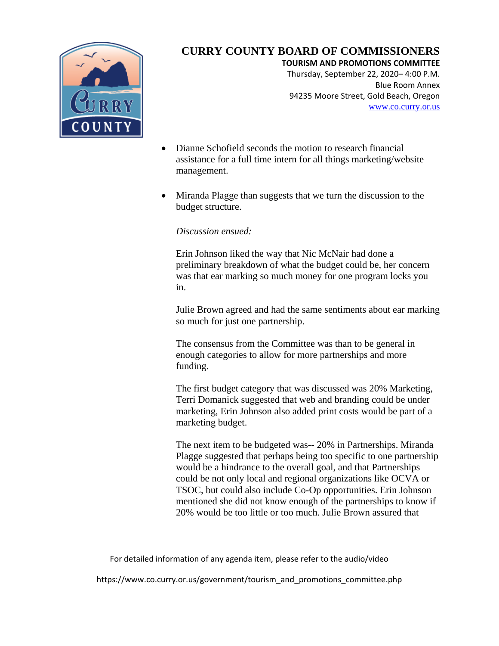

**TOURISM AND PROMOTIONS COMMITTEE**

Thursday, September 22, 2020– 4:00 P.M. Blue Room Annex 94235 Moore Street, Gold Beach, Oregon [www.co.curry.or.us](http://www.co.curry.or.us/)

- Dianne Schofield seconds the motion to research financial assistance for a full time intern for all things marketing/website management.
- Miranda Plagge than suggests that we turn the discussion to the budget structure.

#### *Discussion ensued:*

Erin Johnson liked the way that Nic McNair had done a preliminary breakdown of what the budget could be, her concern was that ear marking so much money for one program locks you in.

Julie Brown agreed and had the same sentiments about ear marking so much for just one partnership.

The consensus from the Committee was than to be general in enough categories to allow for more partnerships and more funding.

The first budget category that was discussed was 20% Marketing, Terri Domanick suggested that web and branding could be under marketing, Erin Johnson also added print costs would be part of a marketing budget.

The next item to be budgeted was-- 20% in Partnerships. Miranda Plagge suggested that perhaps being too specific to one partnership would be a hindrance to the overall goal, and that Partnerships could be not only local and regional organizations like OCVA or TSOC, but could also include Co-Op opportunities. Erin Johnson mentioned she did not know enough of the partnerships to know if 20% would be too little or too much. Julie Brown assured that

For detailed information of any agenda item, please refer to the audio/video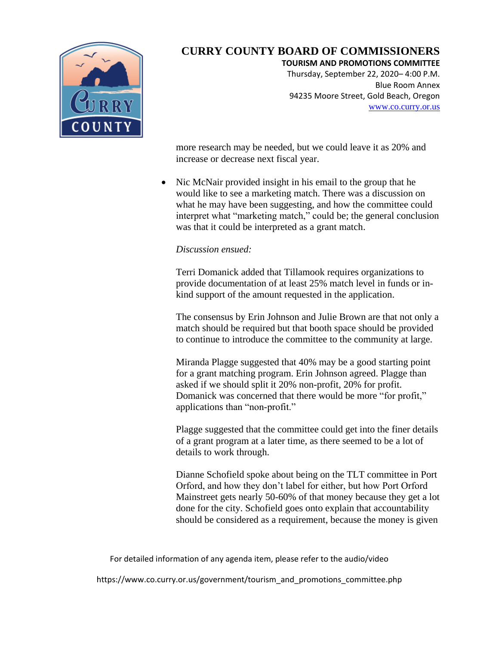

**TOURISM AND PROMOTIONS COMMITTEE**

Thursday, September 22, 2020– 4:00 P.M. Blue Room Annex 94235 Moore Street, Gold Beach, Oregon [www.co.curry.or.us](http://www.co.curry.or.us/)

more research may be needed, but we could leave it as 20% and increase or decrease next fiscal year.

• Nic McNair provided insight in his email to the group that he would like to see a marketing match. There was a discussion on what he may have been suggesting, and how the committee could interpret what "marketing match," could be; the general conclusion was that it could be interpreted as a grant match.

#### *Discussion ensued:*

Terri Domanick added that Tillamook requires organizations to provide documentation of at least 25% match level in funds or inkind support of the amount requested in the application.

The consensus by Erin Johnson and Julie Brown are that not only a match should be required but that booth space should be provided to continue to introduce the committee to the community at large.

Miranda Plagge suggested that 40% may be a good starting point for a grant matching program. Erin Johnson agreed. Plagge than asked if we should split it 20% non-profit, 20% for profit. Domanick was concerned that there would be more "for profit," applications than "non-profit."

Plagge suggested that the committee could get into the finer details of a grant program at a later time, as there seemed to be a lot of details to work through.

Dianne Schofield spoke about being on the TLT committee in Port Orford, and how they don't label for either, but how Port Orford Mainstreet gets nearly 50-60% of that money because they get a lot done for the city. Schofield goes onto explain that accountability should be considered as a requirement, because the money is given

For detailed information of any agenda item, please refer to the audio/video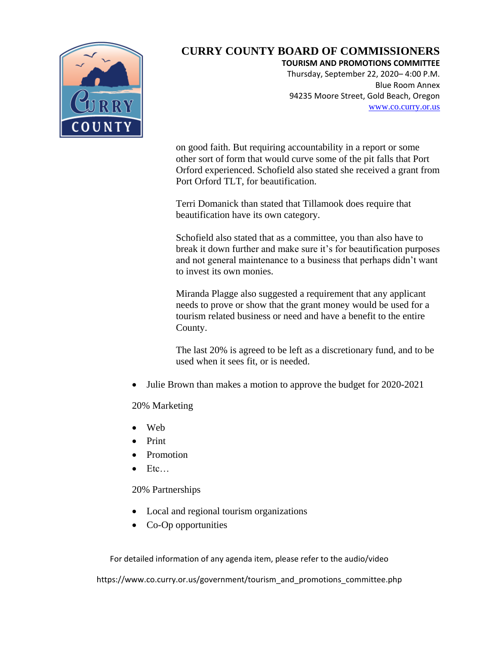

**TOURISM AND PROMOTIONS COMMITTEE**

Thursday, September 22, 2020– 4:00 P.M. Blue Room Annex 94235 Moore Street, Gold Beach, Oregon [www.co.curry.or.us](http://www.co.curry.or.us/)

on good faith. But requiring accountability in a report or some other sort of form that would curve some of the pit falls that Port Orford experienced. Schofield also stated she received a grant from Port Orford TLT, for beautification.

Terri Domanick than stated that Tillamook does require that beautification have its own category.

Schofield also stated that as a committee, you than also have to break it down further and make sure it's for beautification purposes and not general maintenance to a business that perhaps didn't want to invest its own monies.

Miranda Plagge also suggested a requirement that any applicant needs to prove or show that the grant money would be used for a tourism related business or need and have a benefit to the entire County.

The last 20% is agreed to be left as a discretionary fund, and to be used when it sees fit, or is needed.

Julie Brown than makes a motion to approve the budget for 2020-2021

20% Marketing

- Web
- Print
- Promotion
- Etc…

20% Partnerships

- Local and regional tourism organizations
- Co-Op opportunities

For detailed information of any agenda item, please refer to the audio/video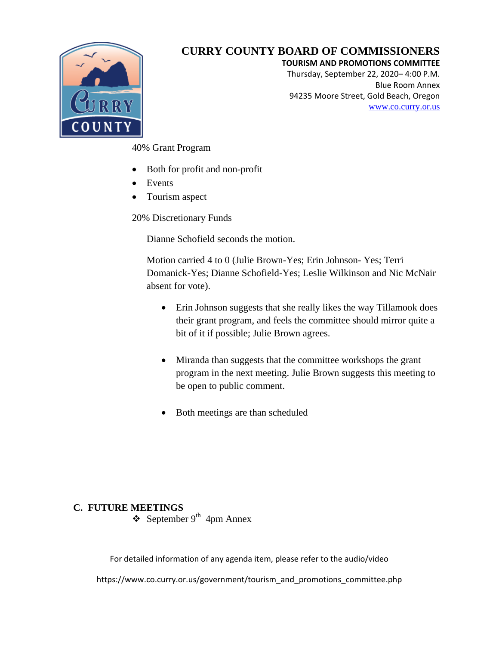

#### **TOURISM AND PROMOTIONS COMMITTEE**

Thursday, September 22, 2020– 4:00 P.M. Blue Room Annex 94235 Moore Street, Gold Beach, Oregon [www.co.curry.or.us](http://www.co.curry.or.us/)

40% Grant Program

- Both for profit and non-profit
- Events
- Tourism aspect

20% Discretionary Funds

Dianne Schofield seconds the motion.

Motion carried 4 to 0 (Julie Brown-Yes; Erin Johnson- Yes; Terri Domanick-Yes; Dianne Schofield-Yes; Leslie Wilkinson and Nic McNair absent for vote).

- Erin Johnson suggests that she really likes the way Tillamook does their grant program, and feels the committee should mirror quite a bit of it if possible; Julie Brown agrees.
- Miranda than suggests that the committee workshops the grant program in the next meeting. Julie Brown suggests this meeting to be open to public comment.
- Both meetings are than scheduled

#### **C. FUTURE MEETINGS**

 $\div$  September 9<sup>th</sup> 4pm Annex

For detailed information of any agenda item, please refer to the audio/video